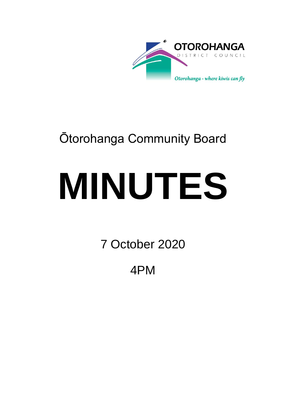

## Ōtorohanga Community Board

# **MINUTES**

7 October 2020

4PM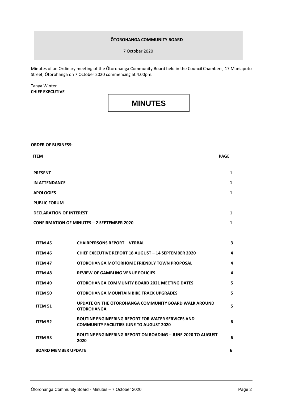#### **ŌTOROHANGA COMMUNITY BOARD**

7 October 2020

Minutes of an Ordinary meeting of the Ōtorohanga Community Board held in the Council Chambers, 17 Maniapoto Street, Ōtorohanga on 7 October 2020 commencing at 4.00pm.

Tanya Winter **CHIEF EXECUTIVE**

### **MINUTES**

**ORDER OF BUSINESS:**

| <b>ITEM</b>                                       | <b>PAGE</b> |
|---------------------------------------------------|-------------|
| <b>PRESENT</b>                                    | 1           |
| <b>IN ATTENDANCE</b>                              | 1           |
| <b>APOLOGIES</b>                                  | 1           |
| <b>PUBLIC FORUM</b>                               |             |
| <b>DECLARATION OF INTEREST</b>                    | 1           |
| <b>CONFIRMATION OF MINUTES - 2 SEPTEMBER 2020</b> | 1           |

| <b>ITEM 45</b>             | <b>CHAIRPERSONS REPORT - VERBAL</b>                                                                  | 3  |
|----------------------------|------------------------------------------------------------------------------------------------------|----|
| ITEM 46                    | <b>CHIEF EXECUTIVE REPORT 18 AUGUST - 14 SEPTEMBER 2020</b>                                          | 4  |
| <b>ITEM 47</b>             | OTOROHANGA MOTORHOME FRIENDLY TOWN PROPOSAL                                                          | 4  |
| <b>ITEM 48</b>             | <b>REVIEW OF GAMBLING VENUE POLICIES</b>                                                             | 4  |
| <b>ITEM 49</b>             | <b>ÕTOROHANGA COMMUNITY BOARD 2021 MEETING DATES</b>                                                 | 5. |
| <b>ITEM 50</b>             | <b>ÕTOROHANGA MOUNTAIN BIKE TRACK UPGRADES</b>                                                       | 5  |
| <b>ITEM 51</b>             | UPDATE ON THE OTOROHANGA COMMUNITY BOARD WALK AROUND<br><b>OTOROHANGA</b>                            | 5. |
| ITEM 52                    | ROUTINE ENGINEERING REPORT FOR WATER SERVICES AND<br><b>COMMUNITY FACILITIES JUNE TO AUGUST 2020</b> | 6  |
| <b>ITEM 53</b>             | <b>ROUTINE ENGINEERING REPORT ON ROADING - JUNE 2020 TO AUGUST</b><br>2020                           | 6  |
| <b>BOARD MEMBER UPDATE</b> |                                                                                                      | 6  |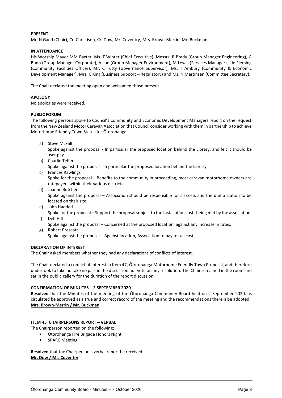#### **PRESENT**

Mr. N Gadd (Chair), Cr. Christison, Cr. Dow, Mr. Coventry, Mrs. Brown-Merrin, Mr. Buckman.

#### **IN ATTENDANCE**

His Worship Mayor MM Baxter, Ms. T Winter (Chief Executive), Messrs. R Brady (Group Manager Engineering), G Bunn (Group Manager Corporate), A Loe (Group Manager Environment), M Lewis (Services Manager), J le Fleming (Community Facilities Officer), Mr. C Tutty (Governance Supervisor), Ms. T Ambury (Community & Economic Development Manager), Mrs. C King (Business Support – Regulatory) and Ms. N Martinsen (Committee Secretary).

The Chair declared the meeting open and welcomed those present.

#### **APOLOGY**

No apologies were received.

#### **PUBLIC FORUM**

The following persons spoke to Council's Community and Economic Development Managers report on the request from the New Zealand Motor Caravan Association that Council consider working with them in partnership to achieve Motorhome Friendly Town Status for Ōtorohanga.

a) Steve McFall

Spoke against the proposal - In particular the proposed location behind the Library, and felt it should be user pay.

b) Charlie Telfer

Spoke against the proposal - In particular the proposed location behind the Library.

c) Frances Rawlings

Spoke for the proposal – Benefits to the community in proceeding, most caravan motorhome owners are ratepayers within their various districts.

- d) Joanne Butcher Spoke against the proposal – Association should be responsible for all costs and the dump station to be located on their site.
- e) John Haddad
- Spoke for the proposal Support the proposal subject to the installation costs being met by the association. f) Deb Hill
	- Spoke against the proposal Concerned at the proposed location, against any increase in rates.
- g) Robert Prescott

Spoke against the proposal – Against location, Association to pay for all costs.

#### **DECLARATION OF INTEREST**

The Chair asked members whether they had any declarations of conflicts of interest.

The Chair declared a conflict of interest in Item 47, Ōtorohanga Motorhome Friendly Town Proposal, and therefore undertook to take no take no part in the discussion nor vote on any resolution. The Chair remained in the room and sat in the public gallery for the duration of the report discussion.

#### **CONFIRMATION OF MINUTES – 2 SEPTEMBER 2020**

**Resolved** that the Minutes of the meeting of the Ōtorohanga Community Board held on 2 September 2020, as circulated be approved as a true and correct record of the meeting and the recommendations therein be adopted. **Mrs. Brown-Merrin / Mr. Buckman**

#### **ITEM 45 CHAIRPERSONS REPORT – VERBAL**

The Chairperson reported on the following;

- Ōtorohanga Fire Brigade Honors Night
- SPARC Meeting

**Resolved** that the Chairperson's verbal report be received. **Mr. Dow / Mr. Coventry**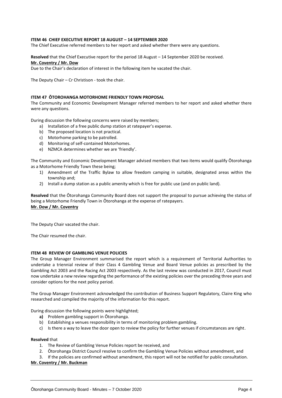#### **ITEM 46 CHIEF EXECUTIVE REPORT 18 AUGUST – 14 SEPTEMBER 2020**

The Chief Executive referred members to her report and asked whether there were any questions.

**Resolved** that the Chief Executive report for the period 18 August – 14 September 2020 be received. **Mr. Coventry / Mr. Dow**

Due to the Chair's declaration of interest in the following item he vacated the chair.

The Deputy Chair – Cr Christison - took the chair.

#### **ITEM 47 ŌTOROHANGA MOTORHOME FRIENDLY TOWN PROPOSAL**

The Community and Economic Development Manager referred members to her report and asked whether there were any questions.

During discussion the following concerns were raised by members;

- a) Installation of a free public dump station at ratepayer's expense.
- b) The proposed location is not practical.
- c) Motorhome parking to be patrolled.
- d) Monitoring of self-contained Motorhomes.
- e) NZMCA determines whether we are 'friendly'.

The Community and Economic Development Manager advised members that two items would qualify Ōtorohanga as a Motorhome Friendly Town these being;

- 1) Amendment of the Traffic Bylaw to allow freedom camping in suitable, designated areas within the township and;
- 2) Install a dump station as a public amenity which is free for public use (and on public land).

**Resolved** that the Ōtorohanga Community Board does not support the proposal to pursue achieving the status of being a Motorhome Friendly Town in Ōtorohanga at the expense of ratepayers. **Mr. Dow / Mr. Coventry**

The Deputy Chair vacated the chair.

The Chair resumed the chair.

#### **ITEM 48 REVIEW OF GAMBLING VENUE POLICIES**

The Group Manager Environment summarised the report which is a requirement of Territorial Authorities to undertake a triennial review of their Class 4 Gambling Venue and Board Venue policies as prescribed by the Gambling Act 2003 and the Racing Act 2003 respectively. As the last review was conducted in 2017, Council must now undertake a new review regarding the performance of the existing policies over the preceding three years and consider options for the next policy period.

The Group Manager Environment acknowledged the contribution of Business Support Regulatory, Claire King who researched and compiled the majority of the information for this report.

During discussion the following points were highlighted;

- **a)** Problem gambling support in Ōtorohanga.
- b) Establishing a venues responsibility in terms of monitoring problem gambling.
- c) Is there a way to leave the door open to review the policy for further venues if circumstances are right.

#### **Resolved** that

- 1. The Review of Gambling Venue Policies report be received, and
- 2. Ōtorohanga District Council resolve to confirm the Gambling Venue Policies without amendment, and
- 3. If the policies are confirmed without amendment, this report will not be notified for public consultation.

#### **Mr. Coventry / Mr. Buckman**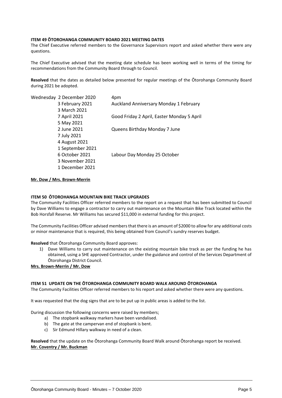#### **ITEM 49 ŌTOROHANGA COMMUNITY BOARD 2021 MEETING DATES**

The Chief Executive referred members to the Governance Supervisors report and asked whether there were any questions.

The Chief Executive advised that the meeting date schedule has been working well in terms of the timing for recommendations from the Community Board through to Council.

**Resolved** that the dates as detailed below presented for regular meetings of the Ōtorohanga Community Board during 2021 be adopted.

| 4pm                                        |
|--------------------------------------------|
| Auckland Anniversary Monday 1 February     |
|                                            |
| Good Friday 2 April, Easter Monday 5 April |
|                                            |
| Queens Birthday Monday 7 June              |
|                                            |
|                                            |
|                                            |
| Labour Day Monday 25 October               |
|                                            |
|                                            |
|                                            |

**Mr. Dow / Mrs. Brown-Merrin**

#### **ITEM 50 ŌTOROHANGA MOUNTAIN BIKE TRACK UPGRADES**

The Community Facilities Officer referred members to the report on a request that has been submitted to Council by Dave Williams to engage a contractor to carry out maintenance on the Mountain Bike Track located within the Bob Horsfall Reserve. Mr Williams has secured \$11,000 in external funding for this project.

The Community Facilities Officer advised members that there is an amount of \$2000 to allow for any additional costs or minor maintenance that is required, this being obtained from Council's sundry reserves budget.

**Resolved** that Ōtorohanga Community Board approves:

1) Dave Williams to carry out maintenance on the existing mountain bike track as per the funding he has obtained, using a SHE approved Contractor, under the guidance and control of the Services Department of Ōtorohanga District Council.

**Mrs. Brown-Merrin / Mr. Dow**

#### **ITEM 51 UPDATE ON THE ŌTOROHANGA COMMUNITY BOARD WALK AROUND ŌTOROHANGA**

The Community Facilities Officer referred members to his report and asked whether there were any questions.

It was requested that the dog signs that are to be put up in public areas is added to the list.

During discussion the following concerns were raised by members;

- a) The stopbank walkway markers have been vandalised.
- b) The gate at the campervan end of stopbank is bent.
- c) Sir Edmund Hillary walkway in need of a clean.

**Resolved** that the update on the Ōtorohanga Community Board Walk around Ōtorohanga report be received. **Mr. Coventry / Mr. Buckman**